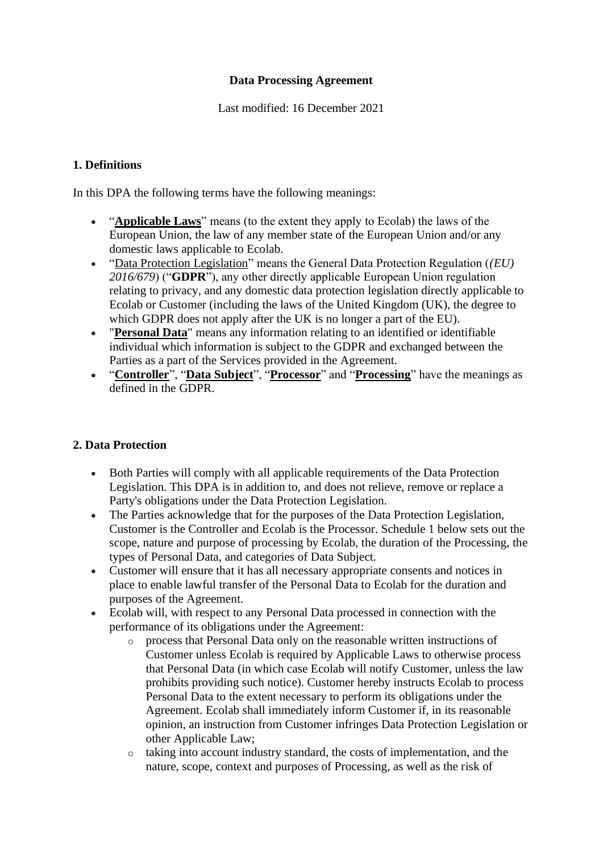#### **Data Processing Agreement**

Last modified: 16 December 2021

### **1. Definitions**

In this DPA the following terms have the following meanings:

- "**Applicable Laws**" means (to the extent they apply to Ecolab) the laws of the European Union, the law of any member state of the European Union and/or any domestic laws applicable to Ecolab.
- "Data Protection Legislation" means the General Data Protection Regulation (*(EU) 2016/679*) ("**GDPR**"), any other directly applicable European Union regulation relating to privacy, and any domestic data protection legislation directly applicable to Ecolab or Customer (including the laws of the United Kingdom (UK), the degree to which GDPR does not apply after the UK is no longer a part of the EU).
- "**Personal Data**" means any information relating to an identified or identifiable individual which information is subject to the GDPR and exchanged between the Parties as a part of the Services provided in the Agreement.
- "**Controller**", "**Data Subject**", "**Processor**" and "**Processing**" have the meanings as defined in the GDPR.

# **2. Data Protection**

- Both Parties will comply with all applicable requirements of the Data Protection Legislation. This DPA is in addition to, and does not relieve, remove or replace a Party's obligations under the Data Protection Legislation.
- The Parties acknowledge that for the purposes of the Data Protection Legislation, Customer is the Controller and Ecolab is the Processor. Schedule 1 below sets out the scope, nature and purpose of processing by Ecolab, the duration of the Processing, the types of Personal Data, and categories of Data Subject.
- Customer will ensure that it has all necessary appropriate consents and notices in place to enable lawful transfer of the Personal Data to Ecolab for the duration and purposes of the Agreement.
- Ecolab will, with respect to any Personal Data processed in connection with the performance of its obligations under the Agreement:
	- o process that Personal Data only on the reasonable written instructions of Customer unless Ecolab is required by Applicable Laws to otherwise process that Personal Data (in which case Ecolab will notify Customer, unless the law prohibits providing such notice). Customer hereby instructs Ecolab to process Personal Data to the extent necessary to perform its obligations under the Agreement. Ecolab shall immediately inform Customer if, in its reasonable opinion, an instruction from Customer infringes Data Protection Legislation or other Applicable Law;
	- o taking into account industry standard, the costs of implementation, and the nature, scope, context and purposes of Processing, as well as the risk of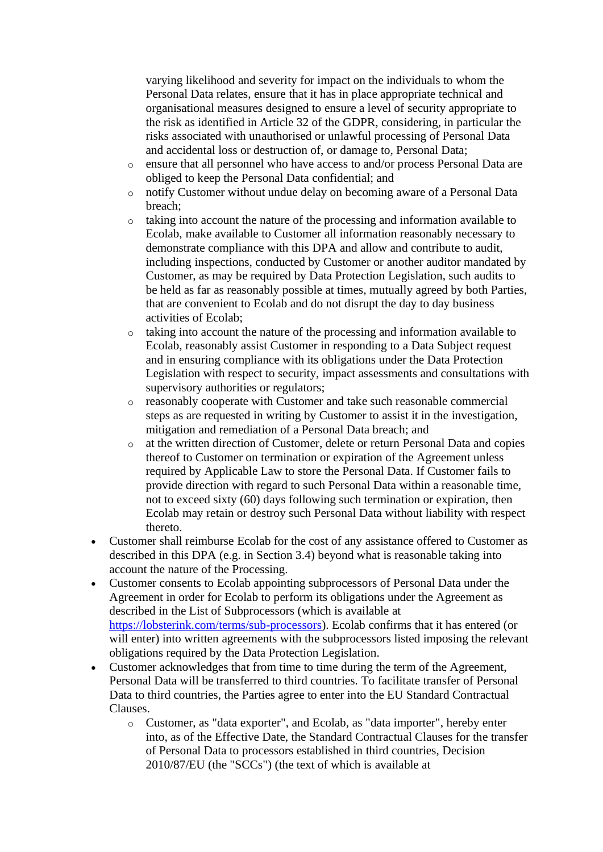varying likelihood and severity for impact on the individuals to whom the Personal Data relates, ensure that it has in place appropriate technical and organisational measures designed to ensure a level of security appropriate to the risk as identified in Article 32 of the GDPR, considering, in particular the risks associated with unauthorised or unlawful processing of Personal Data and accidental loss or destruction of, or damage to, Personal Data;

- o ensure that all personnel who have access to and/or process Personal Data are obliged to keep the Personal Data confidential; and
- o notify Customer without undue delay on becoming aware of a Personal Data breach;
- o taking into account the nature of the processing and information available to Ecolab, make available to Customer all information reasonably necessary to demonstrate compliance with this DPA and allow and contribute to audit, including inspections, conducted by Customer or another auditor mandated by Customer, as may be required by Data Protection Legislation, such audits to be held as far as reasonably possible at times, mutually agreed by both Parties, that are convenient to Ecolab and do not disrupt the day to day business activities of Ecolab;
- o taking into account the nature of the processing and information available to Ecolab, reasonably assist Customer in responding to a Data Subject request and in ensuring compliance with its obligations under the Data Protection Legislation with respect to security, impact assessments and consultations with supervisory authorities or regulators;
- o reasonably cooperate with Customer and take such reasonable commercial steps as are requested in writing by Customer to assist it in the investigation, mitigation and remediation of a Personal Data breach; and
- o at the written direction of Customer, delete or return Personal Data and copies thereof to Customer on termination or expiration of the Agreement unless required by Applicable Law to store the Personal Data. If Customer fails to provide direction with regard to such Personal Data within a reasonable time, not to exceed sixty (60) days following such termination or expiration, then Ecolab may retain or destroy such Personal Data without liability with respect thereto.
- Customer shall reimburse Ecolab for the cost of any assistance offered to Customer as described in this DPA (e.g. in Section 3.4) beyond what is reasonable taking into account the nature of the Processing.
- Customer consents to Ecolab appointing subprocessors of Personal Data under the Agreement in order for Ecolab to perform its obligations under the Agreement as described in the List of Subprocessors (which is available at [https://lobsterink.com/terms/sub-processors\)](file://///terms/sub-processors). Ecolab confirms that it has entered (or will enter) into written agreements with the subprocessors listed imposing the relevant obligations required by the Data Protection Legislation.
- Customer acknowledges that from time to time during the term of the Agreement, Personal Data will be transferred to third countries. To facilitate transfer of Personal Data to third countries, the Parties agree to enter into the EU Standard Contractual Clauses.
	- o Customer, as "data exporter", and Ecolab, as "data importer", hereby enter into, as of the Effective Date, the Standard Contractual Clauses for the transfer of Personal Data to processors established in third countries, Decision 2010/87/EU (the "SCCs") (the text of which is available at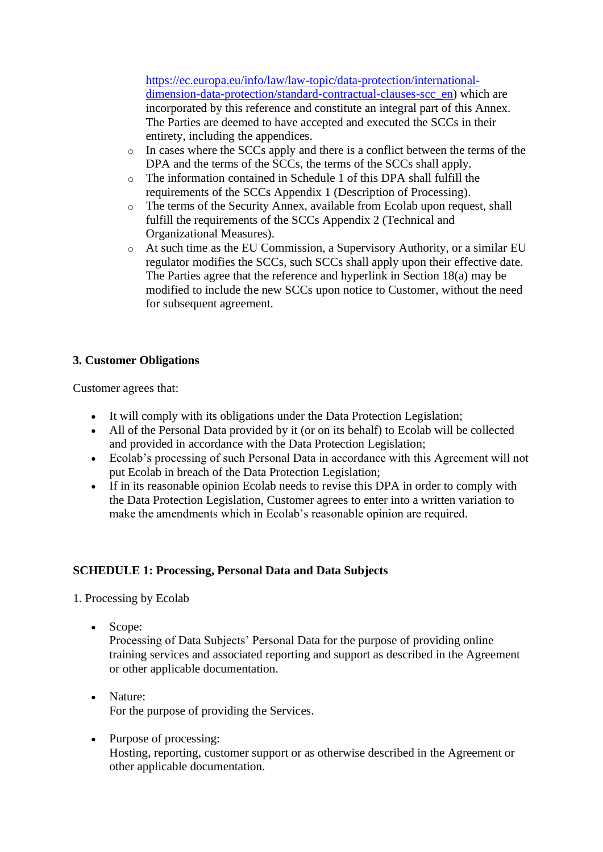[https://ec.europa.eu/info/law/law-topic/data-protection/international](https://ec.europa.eu/info/law/law-topic/data-protection/international-dimension-data-protection/standard-contractual-clauses-scc_en)[dimension-data-protection/standard-contractual-clauses-scc\\_en\)](https://ec.europa.eu/info/law/law-topic/data-protection/international-dimension-data-protection/standard-contractual-clauses-scc_en) which are incorporated by this reference and constitute an integral part of this Annex. The Parties are deemed to have accepted and executed the SCCs in their entirety, including the appendices.

- $\circ$  In cases where the SCCs apply and there is a conflict between the terms of the DPA and the terms of the SCCs, the terms of the SCCs shall apply.
- o The information contained in Schedule 1 of this DPA shall fulfill the requirements of the SCCs Appendix 1 (Description of Processing).
- o The terms of the Security Annex, available from Ecolab upon request, shall fulfill the requirements of the SCCs Appendix 2 (Technical and Organizational Measures).
- o At such time as the EU Commission, a Supervisory Authority, or a similar EU regulator modifies the SCCs, such SCCs shall apply upon their effective date. The Parties agree that the reference and hyperlink in Section 18(a) may be modified to include the new SCCs upon notice to Customer, without the need for subsequent agreement.

### **3. Customer Obligations**

Customer agrees that:

- It will comply with its obligations under the Data Protection Legislation;
- All of the Personal Data provided by it (or on its behalf) to Ecolab will be collected and provided in accordance with the Data Protection Legislation;
- Ecolab's processing of such Personal Data in accordance with this Agreement will not put Ecolab in breach of the Data Protection Legislation;
- If in its reasonable opinion Ecolab needs to revise this DPA in order to comply with the Data Protection Legislation, Customer agrees to enter into a written variation to make the amendments which in Ecolab's reasonable opinion are required.

# **SCHEDULE 1: Processing, Personal Data and Data Subjects**

1. Processing by Ecolab

• Scope:

Processing of Data Subjects' Personal Data for the purpose of providing online training services and associated reporting and support as described in the Agreement or other applicable documentation.

- Nature: For the purpose of providing the Services.
- Purpose of processing: Hosting, reporting, customer support or as otherwise described in the Agreement or other applicable documentation.